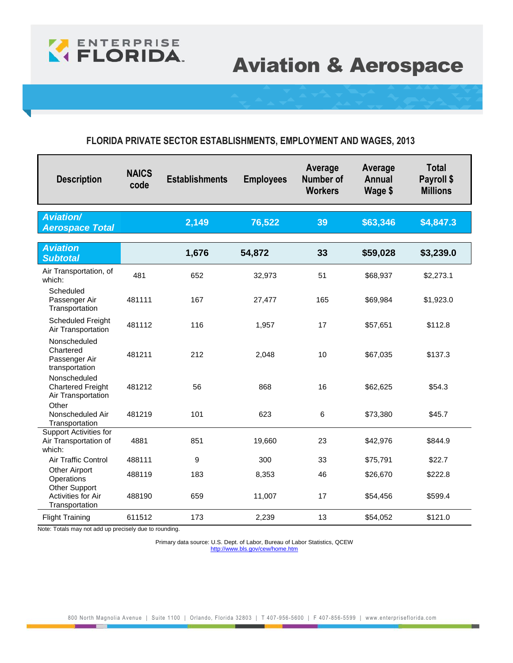

# Aviation & Aerospace

#### **FLORIDA PRIVATE SECTOR ESTABLISHMENTS, EMPLOYMENT AND WAGES, 2013**

| <b>Description</b>                                               | <b>NAICS</b><br>code | <b>Establishments</b> | <b>Employees</b> | Average<br>Number of<br><b>Workers</b> | Average<br>Annual<br>Wage \$ | <b>Total</b><br>Payroll \$<br><b>Millions</b> |
|------------------------------------------------------------------|----------------------|-----------------------|------------------|----------------------------------------|------------------------------|-----------------------------------------------|
| <b>Aviation/</b><br><b>Aerospace Total</b>                       |                      | 2,149                 | 76,522           | 39                                     | \$63,346                     | \$4,847.3                                     |
| <b>Aviation</b><br><b>Subtotal</b>                               |                      | 1,676                 | 54,872           | 33                                     | \$59,028                     | \$3,239.0                                     |
| Air Transportation, of<br>which:                                 | 481                  | 652                   | 32,973           | 51                                     | \$68,937                     | \$2,273.1                                     |
| Scheduled<br>Passenger Air<br>Transportation                     | 481111               | 167                   | 27,477           | 165                                    | \$69,984                     | \$1,923.0                                     |
| <b>Scheduled Freight</b><br>Air Transportation                   | 481112               | 116                   | 1,957            | 17                                     | \$57,651                     | \$112.8                                       |
| Nonscheduled<br>Chartered<br>Passenger Air<br>transportation     | 481211               | 212                   | 2,048            | 10                                     | \$67,035                     | \$137.3                                       |
| Nonscheduled<br><b>Chartered Freight</b><br>Air Transportation   | 481212               | 56                    | 868              | 16                                     | \$62,625                     | \$54.3                                        |
| Other<br>Nonscheduled Air<br>Transportation                      | 481219               | 101                   | 623              | 6                                      | \$73,380                     | \$45.7                                        |
| <b>Support Activities for</b><br>Air Transportation of<br>which: | 4881                 | 851                   | 19,660           | 23                                     | \$42,976                     | \$844.9                                       |
| <b>Air Traffic Control</b>                                       | 488111               | 9                     | 300              | 33                                     | \$75,791                     | \$22.7                                        |
| Other Airport<br>Operations<br><b>Other Support</b>              | 488119               | 183                   | 8,353            | 46                                     | \$26,670                     | \$222.8                                       |
| Activities for Air<br>Transportation                             | 488190               | 659                   | 11,007           | 17                                     | \$54,456                     | \$599.4                                       |
| <b>Flight Training</b>                                           | 611512               | 173                   | 2,239            | 13                                     | \$54,052                     | \$121.0                                       |

Note: Totals may not add up precisely due to rounding.

**The Contract State**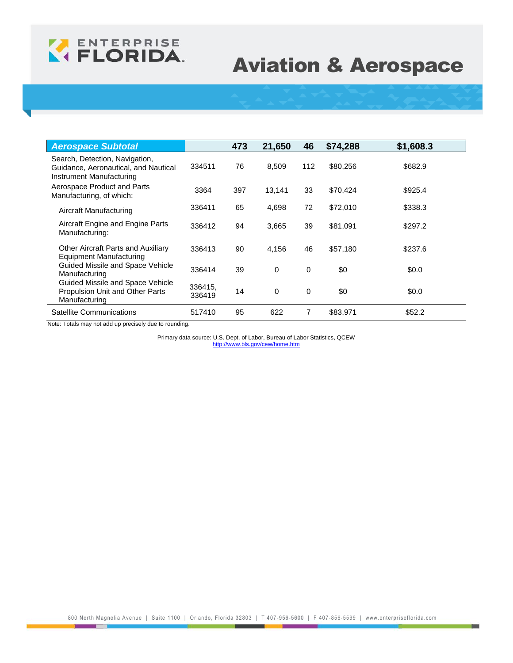

# Aviation & Aerospace

| <b>Aerospace Subtotal</b>                                                                          |                   | 473 | 21,650      | 46  | \$74,288 | \$1,608.3 |
|----------------------------------------------------------------------------------------------------|-------------------|-----|-------------|-----|----------|-----------|
| Search, Detection, Navigation,<br>Guidance, Aeronautical, and Nautical<br>Instrument Manufacturing | 334511            | 76  | 8,509       | 112 | \$80,256 | \$682.9   |
| Aerospace Product and Parts<br>Manufacturing, of which:                                            | 3364              | 397 | 13,141      | 33  | \$70,424 | \$925.4   |
| Aircraft Manufacturing                                                                             | 336411            | 65  | 4,698       | 72  | \$72,010 | \$338.3   |
| Aircraft Engine and Engine Parts<br>Manufacturing:                                                 | 336412            | 94  | 3,665       | 39  | \$81,091 | \$297.2   |
| Other Aircraft Parts and Auxiliary<br>Equipment Manufacturing                                      | 336413            | 90  | 4,156       | 46  | \$57,180 | \$237.6   |
| Guided Missile and Space Vehicle<br>Manufacturing                                                  | 336414            | 39  | 0           | 0   | \$0      | \$0.0     |
| Guided Missile and Space Vehicle<br>Propulsion Unit and Other Parts<br>Manufacturing               | 336415.<br>336419 | 14  | $\mathbf 0$ | 0   | \$0      | \$0.0     |
| Satellite Communications                                                                           | 517410            | 95  | 622         | 7   | \$83,971 | \$52.2    |

Note: Totals may not add up precisely due to rounding.

**The Contract State**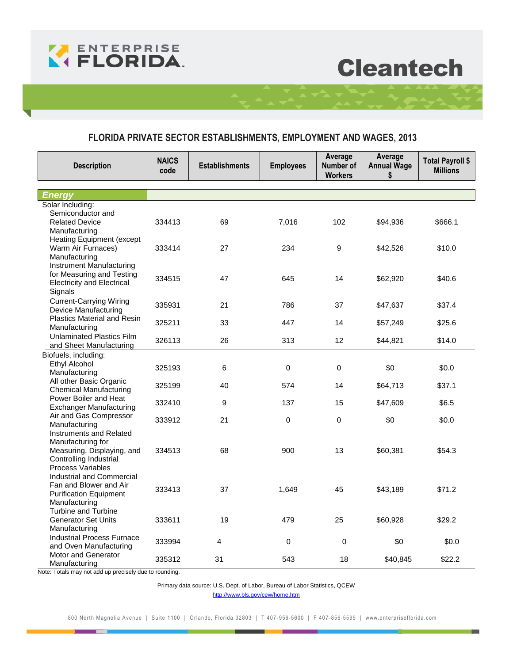

# **Cleantech**

### **FLORIDA PRIVATE SECTOR ESTABLISHMENTS, EMPLOYMENT AND WAGES, 2013**

| <b>Description</b>                                 | <b>NAICS</b><br>code | <b>Establishments</b> | <b>Employees</b> | Average<br>Number of<br><b>Workers</b> | Average<br><b>Annual Wage</b><br>\$ | <b>Total Payroll \$</b><br><b>Millions</b> |
|----------------------------------------------------|----------------------|-----------------------|------------------|----------------------------------------|-------------------------------------|--------------------------------------------|
|                                                    |                      |                       |                  |                                        |                                     |                                            |
| Energy                                             |                      |                       |                  |                                        |                                     |                                            |
| Solar Including:<br>Semiconductor and              |                      |                       |                  |                                        |                                     |                                            |
| <b>Related Device</b>                              | 334413               | 69                    | 7,016            | 102                                    | \$94,936                            | \$666.1                                    |
| Manufacturing                                      |                      |                       |                  |                                        |                                     |                                            |
| <b>Heating Equipment (except</b>                   |                      |                       |                  |                                        |                                     |                                            |
| Warm Air Furnaces)                                 | 333414               | 27                    | 234              | $\boldsymbol{9}$                       | \$42,526                            | \$10.0                                     |
| Manufacturing                                      |                      |                       |                  |                                        |                                     |                                            |
| <b>Instrument Manufacturing</b>                    |                      |                       |                  |                                        |                                     |                                            |
| for Measuring and Testing                          | 334515               | 47                    | 645              | 14                                     | \$62,920                            | \$40.6                                     |
| <b>Electricity and Electrical</b>                  |                      |                       |                  |                                        |                                     |                                            |
| Signals                                            |                      |                       |                  |                                        |                                     |                                            |
| <b>Current-Carrying Wiring</b>                     | 335931               | 21                    | 786              | 37                                     | \$47,637                            | \$37.4                                     |
| Device Manufacturing                               |                      |                       |                  |                                        |                                     |                                            |
| <b>Plastics Material and Resin</b>                 | 325211               | 33                    | 447              | 14                                     | \$57,249                            | \$25.6                                     |
| Manufacturing<br><b>Unlaminated Plastics Film</b>  |                      |                       |                  |                                        |                                     |                                            |
| and Sheet Manufacturing                            | 326113               | 26                    | 313              | 12                                     | \$44,821                            | \$14.0                                     |
| Biofuels, including:                               |                      |                       |                  |                                        |                                     |                                            |
| Ethyl Alcohol                                      |                      |                       |                  |                                        |                                     |                                            |
| Manufacturing                                      | 325193               | 6                     | $\mathbf 0$      | $\mathbf 0$                            | \$0                                 | \$0.0                                      |
| All other Basic Organic                            | 325199               | 40                    | 574              | 14                                     | \$64,713                            | \$37.1                                     |
| Chemical Manufacturing                             |                      |                       |                  |                                        |                                     |                                            |
| Power Boiler and Heat                              | 332410               | 9                     | 137              | 15                                     | \$47,609                            | \$6.5                                      |
| <b>Exchanger Manufacturing</b>                     |                      |                       |                  |                                        |                                     |                                            |
| Air and Gas Compressor                             | 333912               | 21                    | 0                | $\mathsf 0$                            | \$0                                 | \$0.0                                      |
| Manufacturing<br>Instruments and Related           |                      |                       |                  |                                        |                                     |                                            |
| Manufacturing for                                  |                      |                       |                  |                                        |                                     |                                            |
| Measuring, Displaying, and                         | 334513               | 68                    | 900              | 13                                     | \$60,381                            | \$54.3                                     |
| Controlling Industrial                             |                      |                       |                  |                                        |                                     |                                            |
| Process Variables                                  |                      |                       |                  |                                        |                                     |                                            |
| Industrial and Commercial                          |                      |                       |                  |                                        |                                     |                                            |
| Fan and Blower and Air                             | 333413               | 37                    | 1,649            | 45                                     | \$43,189                            | \$71.2                                     |
| <b>Purification Equipment</b>                      |                      |                       |                  |                                        |                                     |                                            |
| Manufacturing                                      |                      |                       |                  |                                        |                                     |                                            |
| Turbine and Turbine                                |                      | 19                    |                  |                                        |                                     |                                            |
| <b>Generator Set Units</b>                         | 333611               |                       | 479              | 25                                     | \$60,928                            | \$29.2                                     |
| Manufacturing<br><b>Industrial Process Furnace</b> |                      |                       |                  |                                        |                                     |                                            |
| and Oven Manufacturing                             | 333994               | $\overline{4}$        | 0                | 0                                      | \$0                                 | \$0.0                                      |
| Motor and Generator                                |                      |                       |                  |                                        |                                     |                                            |
| Manufacturing                                      | 335312               | 31                    | 543              | 18                                     | \$40,845                            | \$22.2                                     |

Note: Totals may not add up precisely due to rounding.

Primary data source: U.S. Dept. of Labor, Bureau of Labor Statistics, QCEW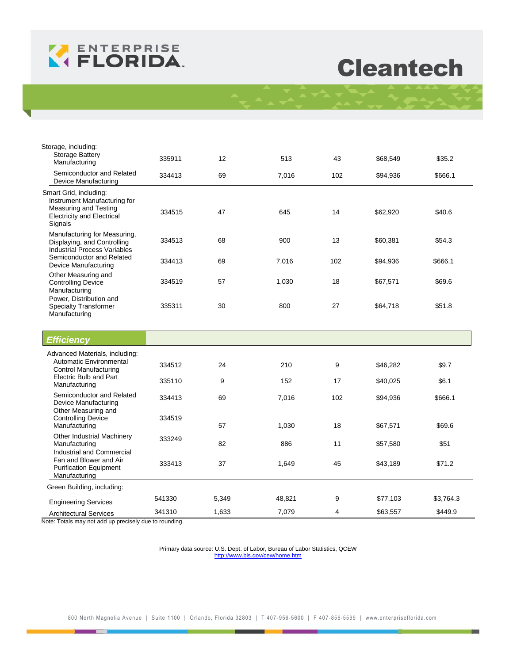

# **Cleantech**

| Storage, including:<br><b>Storage Battery</b><br>Manufacturing                                                                  | 335911           | 12       | 513          | 43        | \$68,549             | \$35.2            |
|---------------------------------------------------------------------------------------------------------------------------------|------------------|----------|--------------|-----------|----------------------|-------------------|
| Semiconductor and Related<br>Device Manufacturing                                                                               | 334413           | 69       | 7,016        | 102       | \$94,936             | \$666.1           |
| Smart Grid, including:<br>Instrument Manufacturing for<br>Measuring and Testing<br><b>Electricity and Electrical</b><br>Signals | 334515           | 47       | 645          | 14        | \$62,920             | \$40.6            |
| Manufacturing for Measuring,<br>Displaying, and Controlling<br><b>Industrial Process Variables</b><br>Semiconductor and Related | 334513<br>334413 | 68<br>69 | 900<br>7,016 | 13<br>102 | \$60,381<br>\$94,936 | \$54.3<br>\$666.1 |
| Device Manufacturing<br>Other Measuring and<br><b>Controlling Device</b><br>Manufacturing                                       | 334519           | 57       | 1,030        | 18        | \$67,571             | \$69.6            |
| Power, Distribution and<br><b>Specialty Transformer</b><br>Manufacturing                                                        | 335311           | 30       | 800          | 27        | \$64,718             | \$51.8            |
| <b>Efficiency</b>                                                                                                               |                  |          |              |           |                      |                   |
| Advanced Materials, including:<br>Automatic Environmental<br><b>Control Manufacturing</b><br>Floots's Dulb and Dost             | 334512           | 24       | 210          | 9         | \$46,282             | \$9.7             |

| Electric Bulb and Part<br>Manufacturing                                  | 335110 | 9     | 152    | 17  | \$40,025 | \$6.1     |
|--------------------------------------------------------------------------|--------|-------|--------|-----|----------|-----------|
| Semiconductor and Related<br>Device Manufacturing                        | 334413 | 69    | 7,016  | 102 | \$94,936 | \$666.1   |
| Other Measuring and<br><b>Controlling Device</b><br>Manufacturing        | 334519 | 57    | 1,030  | 18  | \$67,571 | \$69.6    |
| Other Industrial Machinery<br>Manufacturing<br>Industrial and Commercial | 333249 | 82    | 886    | 11  | \$57,580 | \$51      |
| Fan and Blower and Air<br><b>Purification Equipment</b><br>Manufacturing | 333413 | 37    | 1,649  | 45  | \$43,189 | \$71.2    |
| Green Building, including:                                               |        |       |        |     |          |           |
| <b>Engineering Services</b>                                              | 541330 | 5,349 | 48,821 | 9   | \$77,103 | \$3,764.3 |
| <b>Architectural Services</b>                                            | 341310 | 1.633 | 7.079  | 4   | \$63,557 | \$449.9   |

Note: Totals may not add up precisely due to rounding.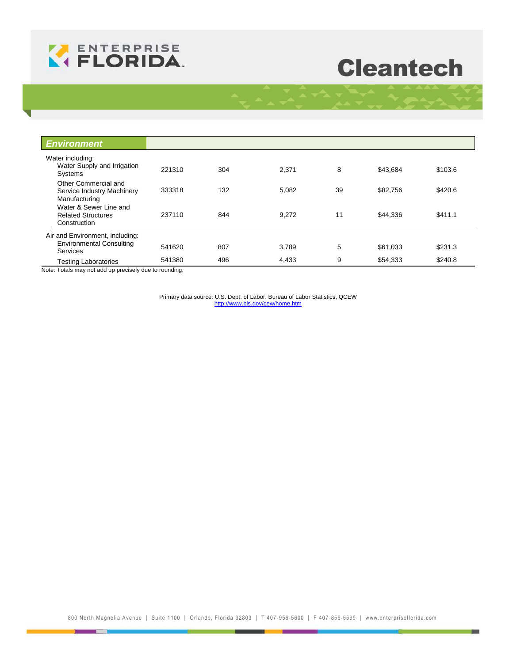

# **Cleantech**

| <b>Environment</b>                                                  |        |     |       |    |          |         |
|---------------------------------------------------------------------|--------|-----|-------|----|----------|---------|
| Water including:<br>Water Supply and Irrigation<br>Systems          | 221310 | 304 | 2,371 | 8  | \$43,684 | \$103.6 |
| Other Commercial and<br>Service Industry Machinery<br>Manufacturing | 333318 | 132 | 5,082 | 39 | \$82,756 | \$420.6 |
| Water & Sewer Line and<br><b>Related Structures</b><br>Construction | 237110 | 844 | 9,272 | 11 | \$44,336 | \$411.1 |
| Air and Environment, including:                                     |        |     |       |    |          |         |
| <b>Environmental Consulting</b><br><b>Services</b>                  | 541620 | 807 | 3,789 | 5  | \$61,033 | \$231.3 |
| <b>Testing Laboratories</b>                                         | 541380 | 496 | 4,433 | 9  | \$54,333 | \$240.8 |

Note: Totals may not add up precisely due to rounding.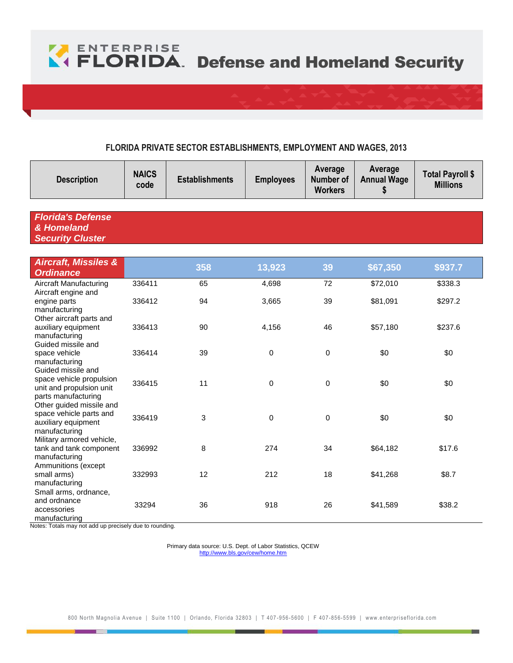

#### **FLORIDA PRIVATE SECTOR ESTABLISHMENTS, EMPLOYMENT AND WAGES, 2013**

| <b>Description</b>                                                                                | <b>NAICS</b><br>code | <b>Establishments</b><br><b>Employees</b> |        | Average<br>Number of<br><b>Workers</b> | Average<br><b>Annual Wage</b><br>\$ | <b>Total Payroll \$</b><br><b>Millions</b> |
|---------------------------------------------------------------------------------------------------|----------------------|-------------------------------------------|--------|----------------------------------------|-------------------------------------|--------------------------------------------|
| <b>Florida's Defense</b>                                                                          |                      |                                           |        |                                        |                                     |                                            |
| & Homeland<br><b>Security Cluster</b>                                                             |                      |                                           |        |                                        |                                     |                                            |
|                                                                                                   |                      |                                           |        |                                        |                                     |                                            |
| <b>Aircraft, Missiles &amp;</b><br><b>Ordinance</b>                                               |                      | 358                                       | 13,923 | 39                                     | \$67,350                            | \$937.7                                    |
| <b>Aircraft Manufacturing</b>                                                                     | 336411               | 65                                        | 4,698  | 72                                     | \$72,010                            | \$338.3                                    |
| Aircraft engine and<br>engine parts<br>manufacturing                                              | 336412               | 94                                        | 3,665  | 39                                     | \$81,091                            | \$297.2                                    |
| Other aircraft parts and<br>auxiliary equipment<br>manufacturing                                  | 336413               | 90                                        | 4,156  | 46                                     | \$57,180                            | \$237.6                                    |
| Guided missile and<br>space vehicle<br>manufacturing                                              | 336414               | 39                                        | 0      | 0                                      | \$0                                 | \$0                                        |
| Guided missile and<br>space vehicle propulsion<br>unit and propulsion unit<br>parts manufacturing | 336415               | 11                                        | 0      | $\mathbf 0$                            | \$0                                 | \$0                                        |
| Other guided missile and<br>space vehicle parts and<br>auxiliary equipment<br>manufacturing       | 336419               | 3                                         | 0      | $\mathbf 0$                            | \$0                                 | \$0                                        |
| Military armored vehicle,<br>tank and tank component<br>manufacturing                             | 336992               | 8                                         | 274    | 34                                     | \$64,182                            | \$17.6                                     |
| Ammunitions (except<br>small arms)<br>manufacturing                                               | 332993               | 12                                        | 212    | 18                                     | \$41,268                            | \$8.7                                      |
| Small arms, ordnance,<br>and ordnance<br>accessories<br>manufacturing                             | 33294                | 36                                        | 918    | 26                                     | \$41,589                            | \$38.2                                     |

Notes: Totals may not add up precisely due to rounding.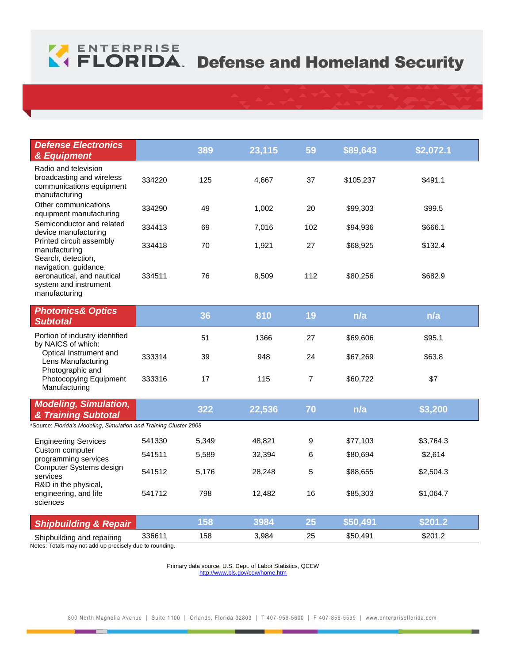# **ENTERPRISE**<br> **CELORIDA**. Defense and Homeland Security

| <b>Defense Electronics</b><br>& Equipment                                                                                                                                                                             |        | 389   | 23,115 | 59             | \$89,643  | \$2,072.1 |
|-----------------------------------------------------------------------------------------------------------------------------------------------------------------------------------------------------------------------|--------|-------|--------|----------------|-----------|-----------|
| Radio and television<br>broadcasting and wireless<br>communications equipment<br>manufacturing                                                                                                                        | 334220 | 125   | 4,667  | 37             | \$105,237 | \$491.1   |
| Other communications<br>equipment manufacturing                                                                                                                                                                       | 334290 | 49    | 1,002  | 20             | \$99,303  | \$99.5    |
| Semiconductor and related<br>device manufacturing<br>Printed circuit assembly<br>manufacturing<br>Search, detection,<br>navigation, guidance,<br>aeronautical, and nautical<br>system and instrument<br>manufacturing | 334413 | 69    | 7,016  | 102            | \$94,936  | \$666.1   |
|                                                                                                                                                                                                                       | 334418 | 70    | 1,921  | 27             | \$68,925  | \$132.4   |
|                                                                                                                                                                                                                       | 334511 | 76    | 8,509  | 112            | \$80,256  | \$682.9   |
| <b>Photonics&amp; Optics</b><br><b>Subtotal</b>                                                                                                                                                                       |        | 36    | 810    | 19             | n/a       | n/a       |
| Portion of industry identified<br>by NAICS of which:                                                                                                                                                                  |        | 51    | 1366   | 27             | \$69,606  | \$95.1    |
| Optical Instrument and<br>Lens Manufacturing                                                                                                                                                                          | 333314 | 39    | 948    | 24             | \$67,269  | \$63.8    |
| Photographic and<br>Photocopying Equipment<br>Manufacturing                                                                                                                                                           | 333316 | 17    | 115    | $\overline{7}$ | \$60,722  | \$7       |
| <b>Modeling, Simulation,</b><br>& Training Subtotal                                                                                                                                                                   |        | 322   | 22,536 | 70             | n/a       | \$3,200   |
| Source: Florida's Modeling, Simulation and Training Cluster 2008                                                                                                                                                      |        |       |        |                |           |           |
| <b>Engineering Services</b>                                                                                                                                                                                           | 541330 | 5,349 | 48,821 | 9              | \$77,103  | \$3,764.3 |
| Custom computer<br>programming services                                                                                                                                                                               | 541511 | 5,589 | 32,394 | 6              | \$80,694  | \$2,614   |
| Computer Systems design<br>services<br>R&D in the physical,<br>engineering, and life<br>sciences                                                                                                                      | 541512 | 5,176 | 28,248 | 5              | \$88,655  | \$2,504.3 |
|                                                                                                                                                                                                                       | 541712 | 798   | 12,482 | 16             | \$85,303  | \$1,064.7 |
| <b>Shipbuilding &amp; Repair</b>                                                                                                                                                                                      |        | 158   | 3984   | 25             | \$50,491  | \$201.2   |
| Shipbuilding and repairing                                                                                                                                                                                            | 336611 | 158   | 3,984  | 25             | \$50,491  | \$201.2   |

Notes: Totals may not add up precisely due to rounding.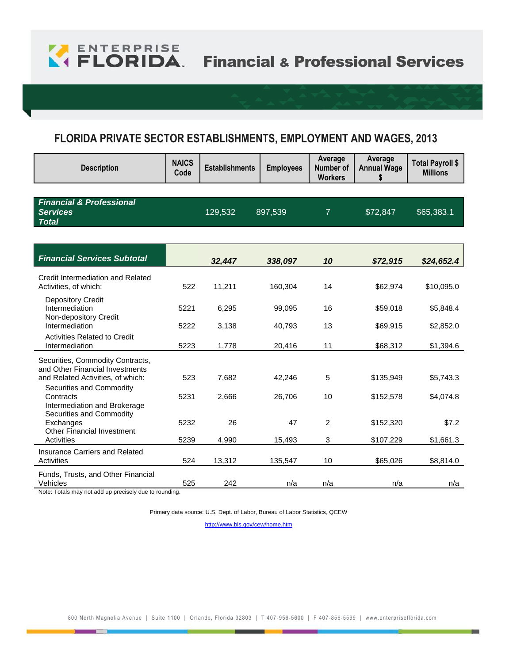

## **FLORIDA PRIVATE SECTOR ESTABLISHMENTS, EMPLOYMENT AND WAGES, 2013**

| <b>Description</b>                                                                               | <b>NAICS</b><br>Code | <b>Establishments</b> | <b>Employees</b> | Average<br>Number of<br><b>Workers</b> | Average<br><b>Annual Wage</b><br>\$ | <b>Total Payroll \$</b><br><b>Millions</b> |
|--------------------------------------------------------------------------------------------------|----------------------|-----------------------|------------------|----------------------------------------|-------------------------------------|--------------------------------------------|
|                                                                                                  |                      |                       |                  |                                        |                                     |                                            |
| <b>Financial &amp; Professional</b><br><b>Services</b><br><b>Total</b>                           |                      | 129,532               | 897,539          | $\overline{7}$                         | \$72,847                            | \$65,383.1                                 |
|                                                                                                  |                      |                       |                  |                                        |                                     |                                            |
| <b>Financial Services Subtotal</b>                                                               |                      | 32,447                | 338,097          | 10                                     | \$72,915                            | \$24,652.4                                 |
| Credit Intermediation and Related<br>Activities, of which:                                       | 522                  | 11,211                | 160,304          | 14                                     | \$62,974                            | \$10,095.0                                 |
| <b>Depository Credit</b><br>Intermediation<br>Non-depository Credit                              | 5221                 | 6,295                 | 99,095           | 16                                     | \$59,018                            | \$5,848.4                                  |
| Intermediation                                                                                   | 5222                 | 3,138                 | 40,793           | 13                                     | \$69,915                            | \$2,852.0                                  |
| <b>Activities Related to Credit</b><br>Intermediation                                            | 5223                 | 1,778                 | 20,416           | 11                                     | \$68,312                            | \$1,394.6                                  |
| Securities, Commodity Contracts,                                                                 |                      |                       |                  |                                        |                                     |                                            |
| and Other Financial Investments<br>and Related Activities, of which:<br>Securities and Commodity | 523                  | 7,682                 | 42,246           | 5                                      | \$135,949                           | \$5,743.3                                  |
| Contracts<br>Intermediation and Brokerage                                                        | 5231                 | 2,666                 | 26,706           | 10                                     | \$152,578                           | \$4,074.8                                  |
| Securities and Commodity<br>Exchanges                                                            | 5232                 | 26                    | 47               | $\overline{2}$                         | \$152,320                           | \$7.2                                      |
| <b>Other Financial Investment</b><br>Activities                                                  | 5239                 | 4,990                 | 15,493           | 3                                      | \$107,229                           | \$1,661.3                                  |
| <b>Insurance Carriers and Related</b><br>Activities                                              | 524                  | 13,312                | 135,547          | 10                                     | \$65,026                            | \$8,814.0                                  |
| Funds, Trusts, and Other Financial<br>Vehicles                                                   | 525                  | 242                   | n/a              | n/a                                    | n/a                                 | n/a                                        |

Note: Totals may not add up precisely due to rounding.

Primary data source: U.S. Dept. of Labor, Bureau of Labor Statistics, QCEW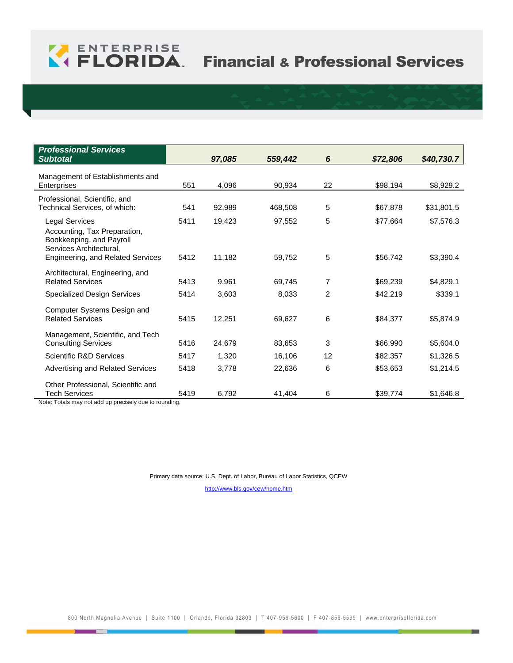

| <b>Professional Services</b><br><b>Subtotal</b>                                                              |      | 97,085 | 559,442 | 6  | \$72,806 | \$40,730.7 |
|--------------------------------------------------------------------------------------------------------------|------|--------|---------|----|----------|------------|
| Management of Establishments and<br>Enterprises                                                              | 551  | 4,096  | 90,934  | 22 | \$98,194 | \$8,929.2  |
| Professional, Scientific, and<br>Technical Services, of which:                                               | 541  | 92,989 | 468,508 | 5  | \$67,878 | \$31,801.5 |
| <b>Legal Services</b><br>Accounting, Tax Preparation,<br>Bookkeeping, and Payroll<br>Services Architectural, | 5411 | 19,423 | 97,552  | 5  | \$77,664 | \$7,576.3  |
| Engineering, and Related Services                                                                            | 5412 | 11,182 | 59,752  | 5  | \$56,742 | \$3,390.4  |
| Architectural, Engineering, and<br><b>Related Services</b>                                                   | 5413 | 9,961  | 69,745  | 7  | \$69,239 | \$4,829.1  |
| <b>Specialized Design Services</b>                                                                           | 5414 | 3,603  | 8,033   | 2  | \$42,219 | \$339.1    |
| Computer Systems Design and<br><b>Related Services</b>                                                       | 5415 | 12,251 | 69,627  | 6  | \$84,377 | \$5,874.9  |
| Management, Scientific, and Tech<br><b>Consulting Services</b>                                               | 5416 | 24,679 | 83,653  | 3  | \$66,990 | \$5,604.0  |
| <b>Scientific R&amp;D Services</b>                                                                           | 5417 | 1,320  | 16,106  | 12 | \$82,357 | \$1,326.5  |
| Advertising and Related Services                                                                             | 5418 | 3,778  | 22,636  | 6  | \$53,653 | \$1,214.5  |
| Other Professional, Scientific and<br>Tech Services<br>المستحدث المراجب مرابه<br>$M = 1 - 1$ $T = 1 - 1 - 1$ | 5419 | 6,792  | 41,404  | 6  | \$39,774 | \$1,646.8  |

Note: Totals may not add up precisely due to rounding.

Primary data source: U.S. Dept. of Labor, Bureau of Labor Statistics, QCEW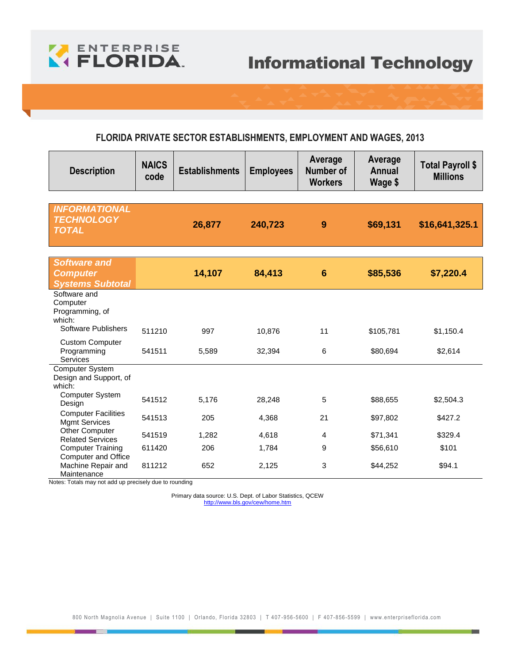

#### **FLORIDA PRIVATE SECTOR ESTABLISHMENTS, EMPLOYMENT AND WAGES, 2013**

| <b>Description</b>                                                | <b>NAICS</b><br>code | <b>Establishments</b> | <b>Employees</b> | Average<br>Number of<br><b>Workers</b> | Average<br><b>Annual</b><br>Wage \$ | Total Payroll \$<br><b>Millions</b> |
|-------------------------------------------------------------------|----------------------|-----------------------|------------------|----------------------------------------|-------------------------------------|-------------------------------------|
|                                                                   |                      |                       |                  |                                        |                                     |                                     |
| <b>INFORMATIONAL</b><br><b>TECHNOLOGY</b><br><b>TOTAL</b>         |                      | 26,877                | 240,723          | 9                                      | \$69,131                            | \$16,641,325.1                      |
|                                                                   |                      |                       |                  |                                        |                                     |                                     |
| <b>Software and</b><br><b>Computer</b><br><b>Systems Subtotal</b> |                      | 14,107                | 84,413           | $6\phantom{1}6$                        | \$85,536                            | \$7,220.4                           |
| Software and<br>Computer<br>Programming, of<br>which:             |                      |                       |                  |                                        |                                     |                                     |
| <b>Software Publishers</b>                                        | 511210               | 997                   | 10,876           | 11                                     | \$105,781                           | \$1,150.4                           |
| <b>Custom Computer</b><br>Programming<br>Services                 | 541511               | 5,589                 | 32,394           | 6                                      | \$80,694                            | \$2,614                             |
| Computer System<br>Design and Support, of<br>which:               |                      |                       |                  |                                        |                                     |                                     |
| <b>Computer System</b><br>Design                                  | 541512               | 5,176                 | 28,248           | 5                                      | \$88,655                            | \$2,504.3                           |
| <b>Computer Facilities</b><br><b>Mgmt Services</b>                | 541513               | 205                   | 4,368            | 21                                     | \$97,802                            | \$427.2                             |
| Other Computer<br><b>Related Services</b>                         | 541519               | 1,282                 | 4,618            | 4                                      | \$71,341                            | \$329.4                             |
| <b>Computer Training</b>                                          | 611420               | 206                   | 1,784            | 9                                      | \$56,610                            | \$101                               |
| <b>Computer and Office</b><br>Machine Repair and<br>Maintenance   | 811212               | 652                   | 2,125            | 3                                      | \$44,252                            | \$94.1                              |

Notes: Totals may not add up precisely due to rounding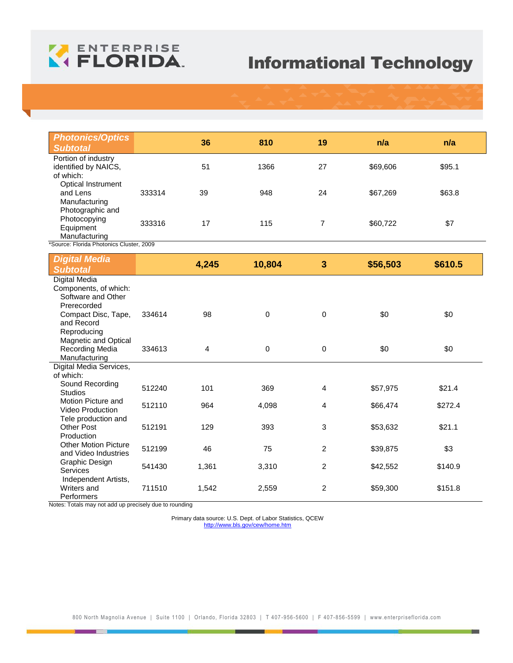

| <b>Photonics/Optics</b><br><b>Subtotal</b>                           |        | 36    | 810         | 19             | n/a      | n/a     |
|----------------------------------------------------------------------|--------|-------|-------------|----------------|----------|---------|
| Portion of industry<br>identified by NAICS,<br>of which:             |        | 51    | 1366        | 27             | \$69,606 | \$95.1  |
| Optical Instrument<br>and Lens<br>Manufacturing                      | 333314 | 39    | 948         | 24             | \$67,269 | \$63.8  |
| Photographic and<br>Photocopying<br>Equipment<br>Manufacturing       | 333316 | 17    | 115         | $\overline{7}$ | \$60,722 | \$7     |
| *Source: Florida Photonics Cluster, 2009                             |        |       |             |                |          |         |
| <b>Digital Media</b><br><b>Subtotal</b>                              |        | 4,245 | 10,804      | 3              | \$56,503 | \$610.5 |
| <b>Digital Media</b><br>Components, of which:<br>Software and Other  |        |       |             |                |          |         |
| Prerecorded<br>Compact Disc, Tape,<br>and Record<br>Reproducing      | 334614 | 98    | $\mathbf 0$ | $\mathbf 0$    | \$0      | \$0     |
| Magnetic and Optical<br>Recording Media<br>Manufacturing             | 334613 | 4     | $\mathbf 0$ | $\mathbf 0$    | \$0      | \$0     |
| Digital Media Services,<br>of which:                                 |        |       |             |                |          |         |
| Sound Recording<br><b>Studios</b>                                    | 512240 | 101   | 369         | 4              | \$57,975 | \$21.4  |
| Motion Picture and<br><b>Video Production</b><br>Tele production and | 512110 | 964   | 4,098       | 4              | \$66,474 | \$272.4 |
| <b>Other Post</b><br>Production                                      | 512191 | 129   | 393         | 3              | \$53,632 | \$21.1  |
| <b>Other Motion Picture</b><br>and Video Industries                  | 512199 | 46    | 75          | $\overline{2}$ | \$39,875 | \$3     |
| Graphic Design<br>Services<br>Independent Artists,                   | 541430 | 1,361 | 3,310       | 2              | \$42,552 | \$140.9 |
| Writers and<br>Performers                                            | 711510 | 1,542 | 2,559       | 2              | \$59,300 | \$151.8 |

Notes: Totals may not add up precisely due to rounding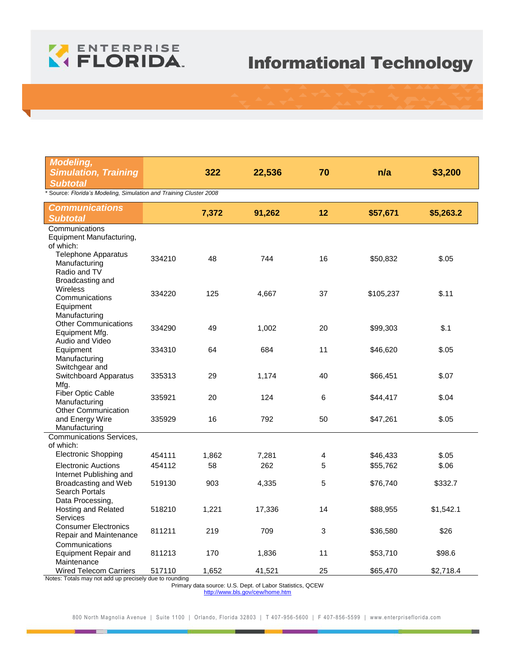

| <b>Modeling,</b><br><b>Simulation, Training</b><br><b>Subtotal</b>               |        | 322   | 22,536 | 70 | n/a       | \$3,200   |  |  |  |
|----------------------------------------------------------------------------------|--------|-------|--------|----|-----------|-----------|--|--|--|
| * Source: Florida's Modeling, Simulation and Training Cluster 2008               |        |       |        |    |           |           |  |  |  |
| <b>Communications</b><br><b>Subtotal</b>                                         |        | 7,372 | 91,262 | 12 | \$57,671  | \$5,263.2 |  |  |  |
| Communications<br>Equipment Manufacturing,<br>of which:                          |        |       |        |    |           |           |  |  |  |
| <b>Telephone Apparatus</b><br>Manufacturing<br>Radio and TV<br>Broadcasting and  | 334210 | 48    | 744    | 16 | \$50,832  | \$.05     |  |  |  |
| <b>Wireless</b><br>Communications<br>Equipment<br>Manufacturing                  | 334220 | 125   | 4,667  | 37 | \$105,237 | \$.11     |  |  |  |
| <b>Other Communications</b><br>Equipment Mfg.<br>Audio and Video                 | 334290 | 49    | 1,002  | 20 | \$99,303  | \$.1      |  |  |  |
| Equipment<br>Manufacturing<br>Switchgear and                                     | 334310 | 64    | 684    | 11 | \$46,620  | \$.05     |  |  |  |
| Switchboard Apparatus<br>Mfg.                                                    | 335313 | 29    | 1,174  | 40 | \$66,451  | \$.07     |  |  |  |
| <b>Fiber Optic Cable</b><br>Manufacturing<br><b>Other Communication</b>          | 335921 | 20    | 124    | 6  | \$44,417  | \$.04     |  |  |  |
| and Energy Wire<br>Manufacturing                                                 | 335929 | 16    | 792    | 50 | \$47,261  | \$.05     |  |  |  |
| Communications Services,<br>of which:                                            |        |       |        |    |           |           |  |  |  |
| <b>Electronic Shopping</b>                                                       | 454111 | 1,862 | 7,281  | 4  | \$46,433  | \$.05     |  |  |  |
| <b>Electronic Auctions</b><br>Internet Publishing and                            | 454112 | 58    | 262    | 5  | \$55,762  | \$.06     |  |  |  |
| Broadcasting and Web<br>Search Portals<br>Data Processing,                       | 519130 | 903   | 4,335  | 5  | \$76,740  | \$332.7   |  |  |  |
| Hosting and Related<br>Services                                                  | 518210 | 1,221 | 17,336 | 14 | \$88,955  | \$1,542.1 |  |  |  |
| <b>Consumer Electronics</b><br>Repair and Maintenance<br>Communications          | 811211 | 219   | 709    | 3  | \$36,580  | \$26      |  |  |  |
| <b>Equipment Repair and</b><br>Maintenance                                       | 811213 | 170   | 1,836  | 11 | \$53,710  | \$98.6    |  |  |  |
| Wired Telecom Carriers<br>Notes: Totals may not add up precisely due to rounding | 517110 | 1,652 | 41,521 | 25 | \$65,470  | \$2,718.4 |  |  |  |

Primary data source: U.S. Dept. of Labor Statistics, QCEW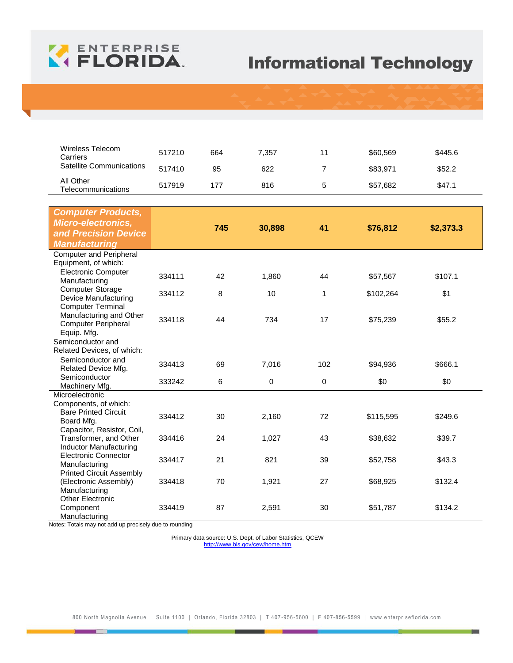

| Wireless Telecom<br>Carriers           | 517210 | 664 | 7.357 | 11 | \$60,569 | \$445.6 |
|----------------------------------------|--------|-----|-------|----|----------|---------|
| <b>Satellite Communications</b>        | 517410 | 95  | 622   |    | \$83,971 | \$52.2  |
| All Other<br><b>Telecommunications</b> | 517919 | 177 | 816   | G  | \$57,682 | \$47.1  |

| <b>Computer Products,</b><br><b>Micro-electronics,</b><br>and Precision Device |        | 745 | 30,898 | 41          | \$76,812  | \$2,373.3 |
|--------------------------------------------------------------------------------|--------|-----|--------|-------------|-----------|-----------|
| <b>Manufacturing</b>                                                           |        |     |        |             |           |           |
| <b>Computer and Peripheral</b>                                                 |        |     |        |             |           |           |
| Equipment, of which:                                                           |        |     |        |             |           |           |
| <b>Electronic Computer</b><br>Manufacturing                                    | 334111 | 42  | 1,860  | 44          | \$57,567  | \$107.1   |
| <b>Computer Storage</b>                                                        |        |     |        |             |           |           |
| Device Manufacturing                                                           | 334112 | 8   | 10     | $\mathbf 1$ | \$102,264 | \$1       |
| <b>Computer Terminal</b>                                                       |        |     |        |             |           |           |
| Manufacturing and Other                                                        | 334118 | 44  | 734    | 17          | \$75,239  | \$55.2    |
| <b>Computer Peripheral</b><br>Equip. Mfg.                                      |        |     |        |             |           |           |
| Semiconductor and                                                              |        |     |        |             |           |           |
| Related Devices, of which:                                                     |        |     |        |             |           |           |
| Semiconductor and                                                              | 334413 | 69  | 7,016  | 102         |           | \$666.1   |
| Related Device Mfg.                                                            |        |     |        |             | \$94,936  |           |
| Semiconductor                                                                  | 333242 | 6   | 0      | 0           | \$0       | \$0       |
| Machinery Mfg.                                                                 |        |     |        |             |           |           |
| Microelectronic<br>Components, of which:                                       |        |     |        |             |           |           |
| <b>Bare Printed Circuit</b>                                                    |        |     |        |             |           |           |
| Board Mfg.                                                                     | 334412 | 30  | 2,160  | 72          | \$115,595 | \$249.6   |
| Capacitor, Resistor, Coil,                                                     |        |     |        |             |           |           |
| Transformer, and Other                                                         | 334416 | 24  | 1,027  | 43          | \$38,632  | \$39.7    |
| <b>Inductor Manufacturing</b><br><b>Electronic Connector</b>                   |        |     |        |             |           |           |
| Manufacturing                                                                  | 334417 | 21  | 821    | 39          | \$52,758  | \$43.3    |
| <b>Printed Circuit Assembly</b>                                                |        |     |        |             |           |           |
| (Electronic Assembly)                                                          | 334418 | 70  | 1,921  | 27          | \$68,925  | \$132.4   |
| Manufacturing                                                                  |        |     |        |             |           |           |
| <b>Other Electronic</b>                                                        |        |     |        |             |           |           |
| Component<br>Manufacturing                                                     | 334419 | 87  | 2,591  | 30          | \$51,787  | \$134.2   |

Notes: Totals may not add up precisely due to rounding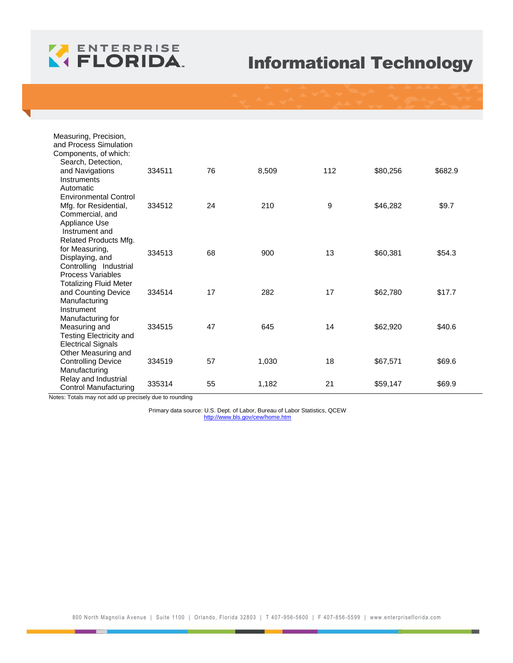

| Measuring, Precision,           |        |    |       |     |          |         |
|---------------------------------|--------|----|-------|-----|----------|---------|
| and Process Simulation          |        |    |       |     |          |         |
| Components, of which:           |        |    |       |     |          |         |
| Search, Detection,              |        |    |       |     |          |         |
| and Navigations                 | 334511 | 76 | 8,509 | 112 | \$80,256 | \$682.9 |
| Instruments                     |        |    |       |     |          |         |
| Automatic                       |        |    |       |     |          |         |
| <b>Environmental Control</b>    |        |    |       |     |          |         |
| Mfg. for Residential,           | 334512 | 24 | 210   | 9   | \$46,282 | \$9.7   |
| Commercial, and                 |        |    |       |     |          |         |
| Appliance Use<br>Instrument and |        |    |       |     |          |         |
| Related Products Mfg.           |        |    |       |     |          |         |
| for Measuring,                  |        |    |       |     |          |         |
| Displaying, and                 | 334513 | 68 | 900   | 13  | \$60,381 | \$54.3  |
| Controlling Industrial          |        |    |       |     |          |         |
| Process Variables               |        |    |       |     |          |         |
| <b>Totalizing Fluid Meter</b>   |        |    |       |     |          |         |
| and Counting Device             | 334514 | 17 | 282   | 17  | \$62,780 | \$17.7  |
| Manufacturing                   |        |    |       |     |          |         |
| Instrument                      |        |    |       |     |          |         |
| Manufacturing for               |        |    |       |     |          |         |
| Measuring and                   | 334515 | 47 | 645   | 14  | \$62,920 | \$40.6  |
| <b>Testing Electricity and</b>  |        |    |       |     |          |         |
| <b>Electrical Signals</b>       |        |    |       |     |          |         |
| Other Measuring and             |        |    |       |     |          |         |
| <b>Controlling Device</b>       | 334519 | 57 | 1,030 | 18  | \$67,571 | \$69.6  |
| Manufacturing                   |        |    |       |     |          |         |
| Relay and Industrial            | 335314 | 55 | 1,182 | 21  | \$59,147 | \$69.9  |
| Control Manufacturing           |        |    |       |     |          |         |

Notes: Totals may not add up precisely due to rounding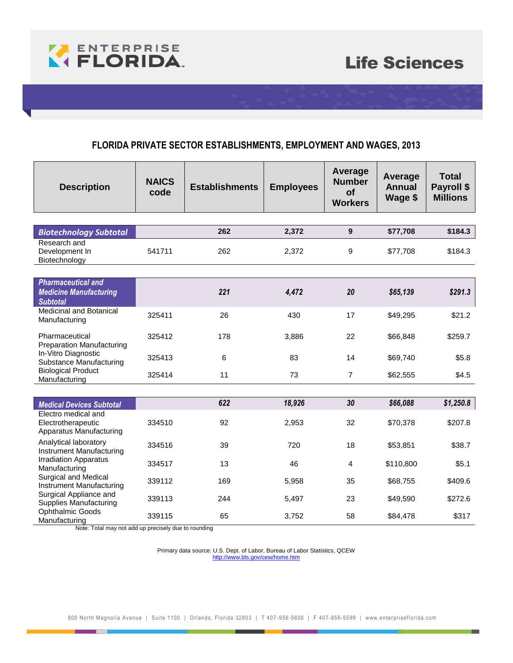

### **FLORIDA PRIVATE SECTOR ESTABLISHMENTS, EMPLOYMENT AND WAGES, 2013**

| <b>Description</b>                                                            | <b>NAICS</b><br>code | <b>Establishments</b> | <b>Employees</b> | Average<br><b>Number</b><br>of<br><b>Workers</b> | Average<br><b>Annual</b><br>Wage \$ | <b>Total</b><br>Payroll \$<br><b>Millions</b> |
|-------------------------------------------------------------------------------|----------------------|-----------------------|------------------|--------------------------------------------------|-------------------------------------|-----------------------------------------------|
|                                                                               |                      |                       |                  |                                                  |                                     |                                               |
| <b>Biotechnology Subtotal</b>                                                 |                      | 262                   | 2,372            | $\boldsymbol{9}$                                 | \$77,708                            | \$184.3                                       |
| Research and<br>Development In<br>Biotechnology                               | 541711               | 262                   | 2,372            | 9                                                | \$77,708                            | \$184.3                                       |
|                                                                               |                      |                       |                  |                                                  |                                     |                                               |
| <b>Pharmaceutical and</b><br><b>Medicine Manufacturing</b><br><b>Subtotal</b> |                      | 221                   | 4,472            | 20                                               | \$65,139                            | \$291.3                                       |
| <b>Medicinal and Botanical</b><br>Manufacturing                               | 325411               | 26                    | 430              | 17                                               | \$49,295                            | \$21.2                                        |
| Pharmaceutical<br><b>Preparation Manufacturing</b>                            | 325412               | 178                   | 3,886            | 22                                               | \$66,848                            | \$259.7                                       |
| In-Vitro Diagnostic<br><b>Substance Manufacturing</b>                         | 325413               | 6                     | 83               | 14                                               | \$69,740                            | \$5.8                                         |
| <b>Biological Product</b><br>Manufacturing                                    | 325414               | 11                    | 73               | $\overline{7}$                                   | \$62,555                            | \$4.5                                         |
|                                                                               |                      |                       |                  |                                                  |                                     |                                               |
| <b>Medical Devices Subtotal</b>                                               |                      | 622                   | 18,926           | 30                                               | \$66,088                            | \$1,250.8                                     |
| Electro medical and<br>Electrotherapeutic<br>Apparatus Manufacturing          | 334510               | 92                    | 2,953            | 32                                               | \$70,378                            | \$207.8                                       |
| Analytical laboratory<br>Instrument Manufacturing                             | 334516               | 39                    | 720              | 18                                               | \$53,851                            | \$38.7                                        |
| <b>Irradiation Apparatus</b><br>Manufacturing                                 | 334517               | 13                    | 46               | $\overline{4}$                                   | \$110,800                           | \$5.1                                         |
| Surgical and Medical<br>Instrument Manufacturing                              | 339112               | 169                   | 5,958            | 35                                               | \$68,755                            | \$409.6                                       |
| Surgical Appliance and<br><b>Supplies Manufacturing</b>                       | 339113               | 244                   | 5,497            | 23                                               | \$49,590                            | \$272.6                                       |
| <b>Ophthalmic Goods</b><br>Manufacturing                                      | 339115               | 65                    | 3,752            | 58                                               | \$84,478                            | \$317                                         |

Note: Total may not add up precisely due to rounding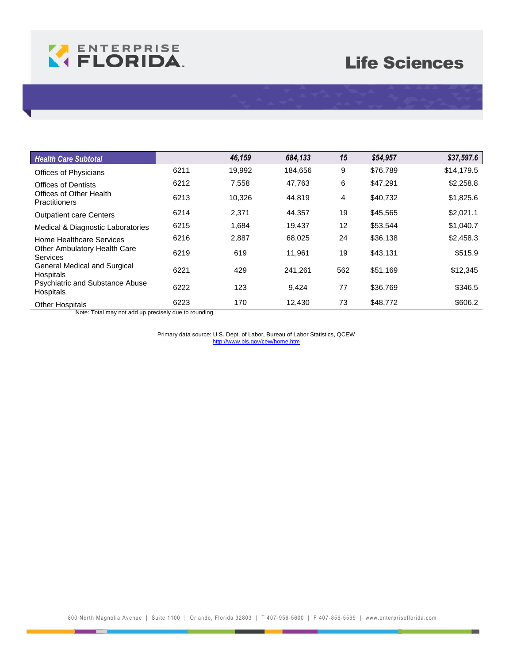

## Life Sciences

| <b>Health Care Subtotal</b>                                |      | 46,159 | 684,133 | 15  | \$54,957 | \$37,597.6 |
|------------------------------------------------------------|------|--------|---------|-----|----------|------------|
| Offices of Physicians                                      | 6211 | 19.992 | 184.656 | 9   | \$76.789 | \$14,179.5 |
| <b>Offices of Dentists</b>                                 | 6212 | 7.558  | 47,763  | 6   | \$47,291 | \$2,258.8  |
| Offices of Other Health<br><b>Practitioners</b>            | 6213 | 10,326 | 44,819  | 4   | \$40,732 | \$1,825.6  |
| <b>Outpatient care Centers</b>                             | 6214 | 2,371  | 44,357  | 19  | \$45,565 | \$2,021.1  |
| Medical & Diagnostic Laboratories                          | 6215 | 1,684  | 19,437  | 12  | \$53,544 | \$1,040.7  |
| Home Healthcare Services                                   | 6216 | 2,887  | 68,025  | 24  | \$36,138 | \$2,458.3  |
| Other Ambulatory Health Care<br><b>Services</b>            | 6219 | 619    | 11,961  | 19  | \$43,131 | \$515.9    |
| <b>General Medical and Surgical</b><br><b>Hospitals</b>    | 6221 | 429    | 241.261 | 562 | \$51,169 | \$12,345   |
| <b>Psychiatric and Substance Abuse</b><br><b>Hospitals</b> | 6222 | 123    | 9,424   | 77  | \$36,769 | \$346.5    |
| <b>Other Hospitals</b>                                     | 6223 | 170    | 12.430  | 73  | \$48,772 | \$606.2    |

Note: Total may not add up precisely due to rounding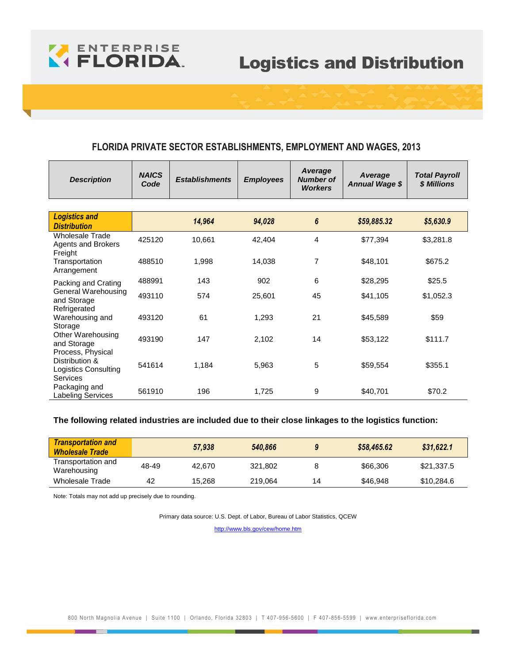

## Logistics and Distribution

#### **FLORIDA PRIVATE SECTOR ESTABLISHMENTS, EMPLOYMENT AND WAGES, 2013**

| <b>Description</b>                                             | <b>NAICS</b><br>Code | <b>Establishments</b> | <b>Employees</b> | Average<br><b>Number of</b><br><b>Workers</b> | Average<br><b>Annual Wage \$</b> | <b>Total Payroll</b><br>\$ Millions |
|----------------------------------------------------------------|----------------------|-----------------------|------------------|-----------------------------------------------|----------------------------------|-------------------------------------|
|                                                                |                      |                       |                  |                                               |                                  |                                     |
| <b>Logistics and</b><br><b>Distribution</b>                    |                      | 14,964                | 94,028           | 6                                             | \$59,885.32                      | \$5,630.9                           |
| <b>Wholesale Trade</b><br><b>Agents and Brokers</b><br>Freight | 425120               | 10,661                | 42,404           | 4                                             | \$77,394                         | \$3,281.8                           |
| Transportation<br>Arrangement                                  | 488510               | 1,998                 | 14,038           | 7                                             | \$48,101                         | \$675.2                             |
| Packing and Crating                                            | 488991               | 143                   | 902              | 6                                             | \$28,295                         | \$25.5                              |
| General Warehousing<br>and Storage<br>Refrigerated             | 493110               | 574                   | 25,601           | 45                                            | \$41,105                         | \$1,052.3                           |
| Warehousing and<br>Storage                                     | 493120               | 61                    | 1,293            | 21                                            | \$45,589                         | \$59                                |
| Other Warehousing<br>and Storage<br>Process, Physical          | 493190               | 147                   | 2,102            | 14                                            | \$53,122                         | \$111.7                             |
| Distribution &<br><b>Logistics Consulting</b><br>Services      | 541614               | 1,184                 | 5,963            | 5                                             | \$59,554                         | \$355.1                             |
| Packaging and<br>Labeling Services                             | 561910               | 196                   | 1,725            | 9                                             | \$40,701                         | \$70.2                              |

#### **The following related industries are included due to their close linkages to the logistics function:**

| <b>Transportation and</b><br><b>Wholesale Trade</b> |       | 57,938 | 540,866 |    | \$58,465.62 | \$31.622.1 |
|-----------------------------------------------------|-------|--------|---------|----|-------------|------------|
| Transportation and<br>Warehousing                   | 48-49 | 42.670 | 321.802 |    | \$66,306    | \$21.337.5 |
| Wholesale Trade                                     | 42    | 15,268 | 219.064 | 14 | \$46,948    | \$10,284.6 |

Note: Totals may not add up precisely due to rounding.

Primary data source: U.S. Dept. of Labor, Bureau of Labor Statistics, QCEW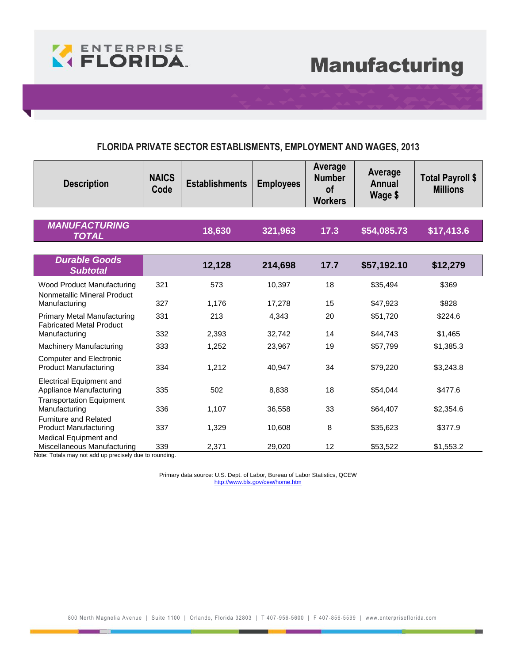

#### **FLORIDA PRIVATE SECTOR ESTABLISMENTS, EMPLOYMENT AND WAGES, 2013**

| <b>Description</b>                                                                     | <b>NAICS</b><br>Code | <b>Establishments</b> | <b>Employees</b> | Average<br><b>Number</b><br><b>of</b><br><b>Workers</b> | Average<br><b>Annual</b><br>Wage \$ | <b>Total Payroll \$</b><br><b>Millions</b> |
|----------------------------------------------------------------------------------------|----------------------|-----------------------|------------------|---------------------------------------------------------|-------------------------------------|--------------------------------------------|
| <b>MANUFACTURING</b><br><b>TOTAL</b>                                                   |                      | 18,630                | 321,963          | 17.3                                                    | \$54,085.73                         | \$17,413.6                                 |
| <b>Durable Goods</b><br><b>Subtotal</b>                                                |                      | 12,128                | 214,698          | 17.7                                                    | \$57,192.10                         | \$12,279                                   |
| Wood Product Manufacturing<br>Nonmetallic Mineral Product                              | 321                  | 573                   | 10,397           | 18                                                      | \$35,494                            | \$369                                      |
| Manufacturing                                                                          | 327                  | 1,176                 | 17,278           | 15                                                      | \$47,923                            | \$828                                      |
| <b>Primary Metal Manufacturing</b><br><b>Fabricated Metal Product</b>                  | 331                  | 213                   | 4,343            | 20                                                      | \$51,720                            | \$224.6                                    |
| Manufacturing                                                                          | 332                  | 2,393                 | 32,742           | 14                                                      | \$44,743                            | \$1,465                                    |
| Machinery Manufacturing                                                                | 333                  | 1,252                 | 23,967           | 19                                                      | \$57,799                            | \$1,385.3                                  |
| <b>Computer and Electronic</b><br><b>Product Manufacturing</b>                         | 334                  | 1,212                 | 40,947           | 34                                                      | \$79,220                            | \$3,243.8                                  |
| Electrical Equipment and<br>Appliance Manufacturing<br><b>Transportation Equipment</b> | 335                  | 502                   | 8,838            | 18                                                      | \$54,044                            | \$477.6                                    |
| Manufacturing                                                                          | 336                  | 1,107                 | 36,558           | 33                                                      | \$64,407                            | \$2,354.6                                  |
| <b>Furniture and Related</b><br><b>Product Manufacturing</b>                           | 337                  | 1,329                 | 10,608           | 8                                                       | \$35,623                            | \$377.9                                    |
| Medical Equipment and<br>Miscellaneous Manufacturing                                   | 339                  | 2,371                 | 29,020           | 12                                                      | \$53,522                            | \$1,553.2                                  |

Note: Totals may not add up precisely due to rounding.